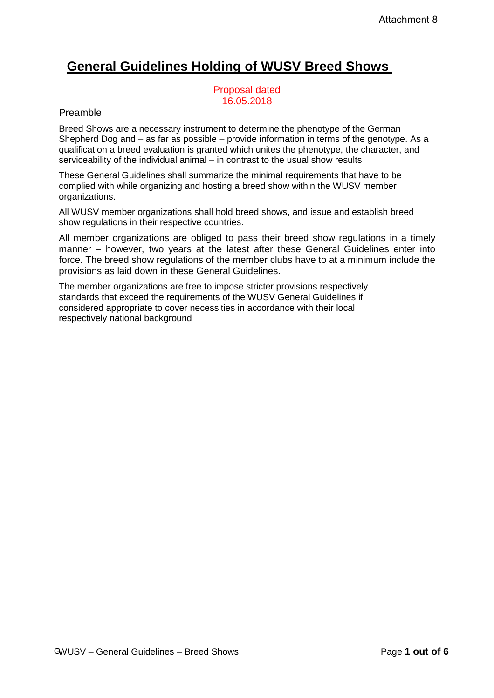# **General Guidelines Holding of WUSV Breed Shows**

Proposal dated 16.05.2018

## Preamble

Breed Shows are a necessary instrument to determine the phenotype of the German Shepherd Dog and – as far as possible – provide information in terms of the genotype. As a qualification a breed evaluation is granted which unites the phenotype, the character, and serviceability of the individual animal – in contrast to the usual show results

These General Guidelines shall summarize the minimal requirements that have to be complied with while organizing and hosting a breed show within the WUSV member organizations.

All WUSV member organizations shall hold breed shows, and issue and establish breed show regulations in their respective countries.

All member organizations are obliged to pass their breed show regulations in a timely manner – however, two years at the latest after these General Guidelines enter into force. The breed show regulations of the member clubs have to at a minimum include the provisions as laid down in these General Guidelines.

The member organizations are free to impose stricter provisions respectively standards that exceed the requirements of the WUSV General Guidelines if considered appropriate to cover necessities in accordance with their local respectively national background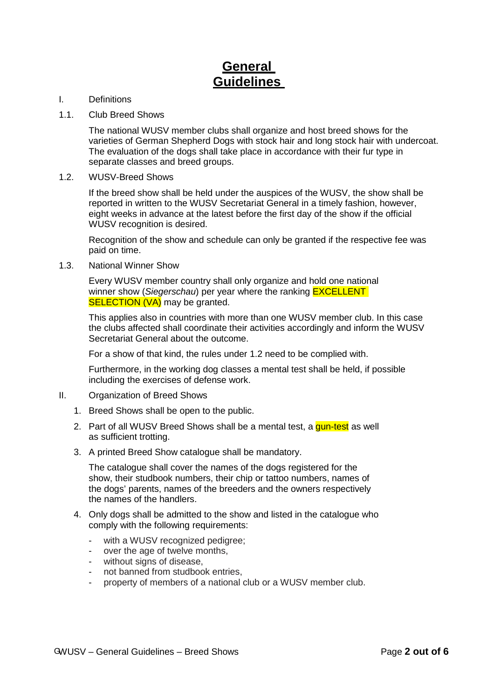## **General Guidelines**

- I. Definitions
- 1.1. Club Breed Shows

The national WUSV member clubs shall organize and host breed shows for the varieties of German Shepherd Dogs with stock hair and long stock hair with undercoat. The evaluation of the dogs shall take place in accordance with their fur type in separate classes and breed groups.

1.2. WUSV-Breed Shows

If the breed show shall be held under the auspices of the WUSV, the show shall be reported in written to the WUSV Secretariat General in a timely fashion, however, eight weeks in advance at the latest before the first day of the show if the official WUSV recognition is desired.

Recognition of the show and schedule can only be granted if the respective fee was paid on time.

1.3. National Winner Show

Every WUSV member country shall only organize and hold one national winner show (*Siegerschau*) per year where the ranking EXCELLENT **SELECTION (VA)** may be granted.

This applies also in countries with more than one WUSV member club. In this case the clubs affected shall coordinate their activities accordingly and inform the WUSV Secretariat General about the outcome.

For a show of that kind, the rules under 1.2 need to be complied with.

Furthermore, in the working dog classes a mental test shall be held, if possible including the exercises of defense work.

- II. Organization of Breed Shows
	- 1. Breed Shows shall be open to the public.
	- 2. Part of all WUSV Breed Shows shall be a mental test, a gun-test as well as sufficient trotting.
	- 3. A printed Breed Show catalogue shall be mandatory.

The catalogue shall cover the names of the dogs registered for the show, their studbook numbers, their chip or tattoo numbers, names of the dogs' parents, names of the breeders and the owners respectively the names of the handlers.

- 4. Only dogs shall be admitted to the show and listed in the catalogue who comply with the following requirements:
	- with a WUSV recognized pedigree;
	- over the age of twelve months,
	- without signs of disease,
	- not banned from studbook entries.
	- property of members of a national club or a WUSV member club.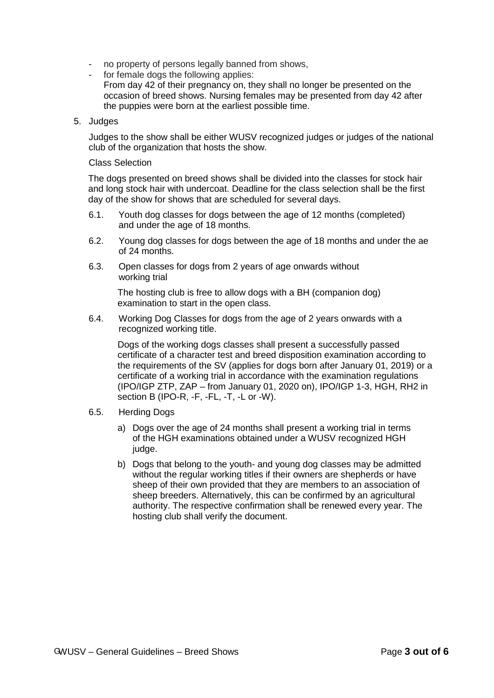- no property of persons legally banned from shows,<br>- for female dogs the following applies:
- for female dogs the following applies:
	- From day 42 of their pregnancy on, they shall no longer be presented on the occasion of breed shows. Nursing females may be presented from day 42 after the puppies were born at the earliest possible time.
- 5. Judges

Judges to the show shall be either WUSV recognized judges or judges of the national club of the organization that hosts the show.

## Class Selection

The dogs presented on breed shows shall be divided into the classes for stock hair and long stock hair with undercoat. Deadline for the class selection shall be the first day of the show for shows that are scheduled for several days.

- 6.1. Youth dog classes for dogs between the age of 12 months (completed) and under the age of 18 months.
- 6.2. Young dog classes for dogs between the age of 18 months and under the ae of 24 months.
- 6.3. Open classes for dogs from 2 years of age onwards without working trial

The hosting club is free to allow dogs with a BH (companion dog) examination to start in the open class.

6.4. Working Dog Classes for dogs from the age of 2 years onwards with a recognized working title.

Dogs of the working dogs classes shall present a successfully passed certificate of a character test and breed disposition examination according to the requirements of the SV (applies for dogs born after January 01, 2019) or a certificate of a working trial in accordance with the examination regulations (IPO/IGP ZTP, ZAP – from January 01, 2020 on), IPO/IGP 1-3, HGH, RH2 in section B (IPO-R, -F, -FL, -T, -L or -W).

- 6.5. Herding Dogs
	- a) Dogs over the age of 24 months shall present a working trial in terms of the HGH examinations obtained under a WUSV recognized HGH judge.
	- b) Dogs that belong to the youth- and young dog classes may be admitted without the regular working titles if their owners are shepherds or have sheep of their own provided that they are members to an association of sheep breeders. Alternatively, this can be confirmed by an agricultural authority. The respective confirmation shall be renewed every year. The hosting club shall verify the document.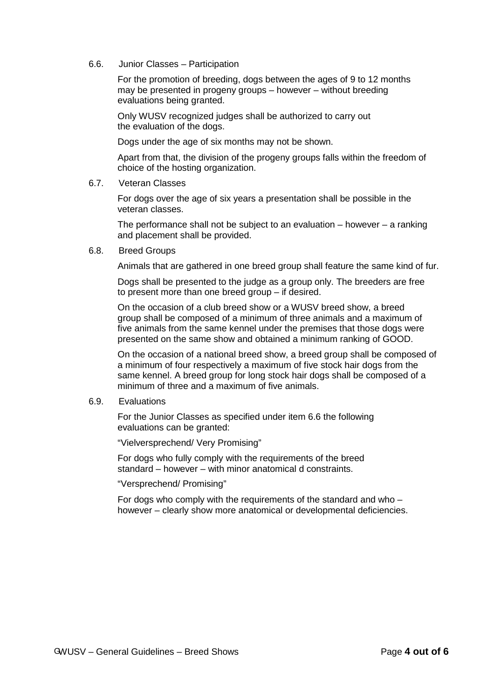6.6. Junior Classes – Participation

For the promotion of breeding, dogs between the ages of 9 to 12 months may be presented in progeny groups – however – without breeding evaluations being granted.

Only WUSV recognized judges shall be authorized to carry out the evaluation of the dogs.

Dogs under the age of six months may not be shown.

Apart from that, the division of the progeny groups falls within the freedom of choice of the hosting organization.

6.7. Veteran Classes

For dogs over the age of six years a presentation shall be possible in the veteran classes.

The performance shall not be subject to an evaluation  $-$  however  $-$  a ranking and placement shall be provided.

6.8. Breed Groups

Animals that are gathered in one breed group shall feature the same kind of fur.

Dogs shall be presented to the judge as a group only. The breeders are free to present more than one breed group – if desired.

On the occasion of a club breed show or a WUSV breed show, a breed group shall be composed of a minimum of three animals and a maximum of five animals from the same kennel under the premises that those dogs were presented on the same show and obtained a minimum ranking of GOOD.

On the occasion of a national breed show, a breed group shall be composed of a minimum of four respectively a maximum of five stock hair dogs from the same kennel. A breed group for long stock hair dogs shall be composed of a minimum of three and a maximum of five animals.

6.9. Evaluations

For the Junior Classes as specified under item 6.6 the following evaluations can be granted:

"Vielversprechend/ Very Promising"

For dogs who fully comply with the requirements of the breed standard – however – with minor anatomical d constraints.

"Versprechend/ Promising"

For dogs who comply with the requirements of the standard and who – however – clearly show more anatomical or developmental deficiencies.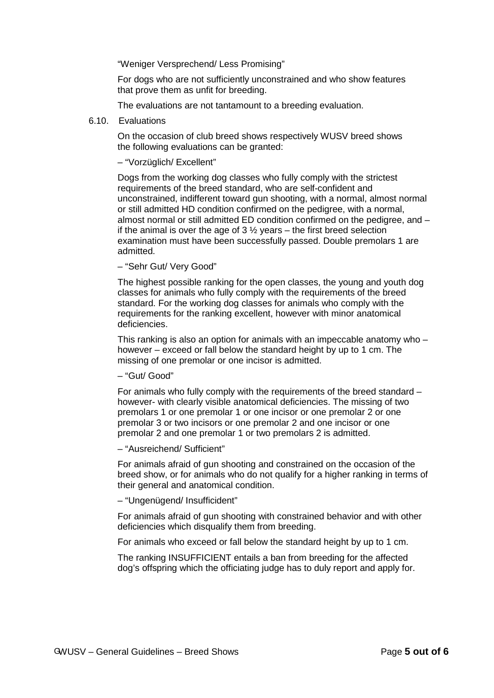"Weniger Versprechend/ Less Promising"

For dogs who are not sufficiently unconstrained and who show features that prove them as unfit for breeding.

The evaluations are not tantamount to a breeding evaluation.

#### 6.10. Evaluations

On the occasion of club breed shows respectively WUSV breed shows the following evaluations can be granted:

### – "Vorzüglich/ Excellent"

Dogs from the working dog classes who fully comply with the strictest requirements of the breed standard, who are self-confident and unconstrained, indifferent toward gun shooting, with a normal, almost normal or still admitted HD condition confirmed on the pedigree, with a normal, almost normal or still admitted ED condition confirmed on the pedigree, and – if the animal is over the age of  $3\frac{1}{2}$  years – the first breed selection examination must have been successfully passed. Double premolars 1 are admitted.

#### – "Sehr Gut/ Very Good"

The highest possible ranking for the open classes, the young and youth dog classes for animals who fully comply with the requirements of the breed standard. For the working dog classes for animals who comply with the requirements for the ranking excellent, however with minor anatomical deficiencies.

This ranking is also an option for animals with an impeccable anatomy who – however – exceed or fall below the standard height by up to 1 cm. The missing of one premolar or one incisor is admitted.

– "Gut/ Good"

For animals who fully comply with the requirements of the breed standard – however- with clearly visible anatomical deficiencies. The missing of two premolars 1 or one premolar 1 or one incisor or one premolar 2 or one premolar 3 or two incisors or one premolar 2 and one incisor or one premolar 2 and one premolar 1 or two premolars 2 is admitted.

– "Ausreichend/ Sufficient"

For animals afraid of gun shooting and constrained on the occasion of the breed show, or for animals who do not qualify for a higher ranking in terms of their general and anatomical condition.

– "Ungenügend/ Insufficident"

For animals afraid of gun shooting with constrained behavior and with other deficiencies which disqualify them from breeding.

For animals who exceed or fall below the standard height by up to 1 cm.

The ranking INSUFFICIENT entails a ban from breeding for the affected dog's offspring which the officiating judge has to duly report and apply for.